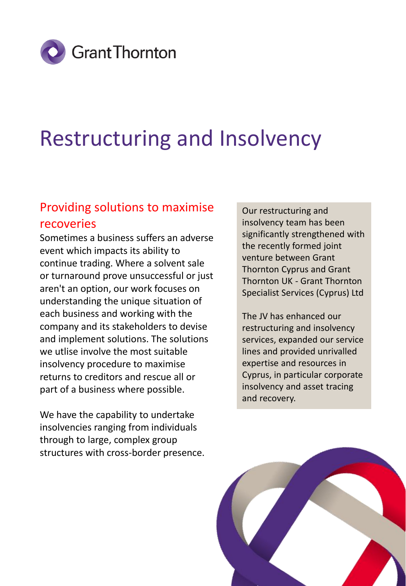

# Restructuring and Insolvency

### Providing solutions to maximise recoveries

Sometimes a business suffers an adverse event which impacts its ability to continue trading. Where a solvent sale or turnaround prove unsuccessful or just aren't an option, our work focuses on understanding the unique situation of each business and working with the company and its stakeholders to devise and implement solutions. The solutions we utlise involve the most suitable insolvency procedure to maximise returns to creditors and rescue all or part of a business where possible.

We have the capability to undertake insolvencies ranging from individuals through to large, complex group structures with cross-border presence.

Our restructuring and insolvency team has been significantly strengthened with the recently formed joint venture between Grant Thornton Cyprus and Grant Thornton UK - Grant Thornton Specialist Services (Cyprus) Ltd

The JV has enhanced our restructuring and insolvency services, expanded our service lines and provided unrivalled expertise and resources in Cyprus, in particular corporate insolvency and asset tracing and recovery.